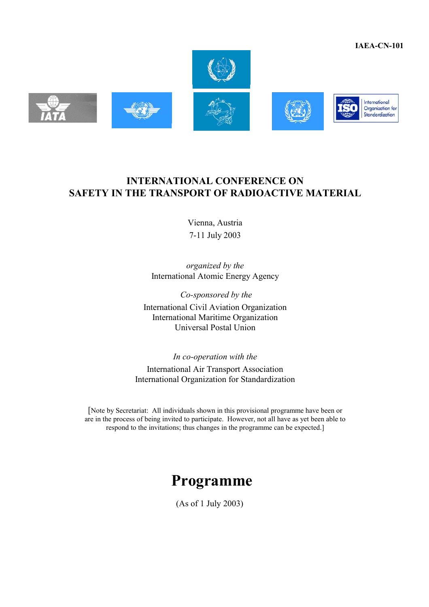**IAEA-CN-101** 



# **INTERNATIONAL CONFERENCE ON SAFETY IN THE TRANSPORT OF RADIOACTIVE MATERIAL**

Vienna, Austria 7-11 July 2003

*organized by the*  International Atomic Energy Agency

 *Co-sponsored by the*  International Civil Aviation Organization International Maritime Organization Universal Postal Union

*In co-operation with the*  International Air Transport Association International Organization for Standardization

[Note by Secretariat: All individuals shown in this provisional programme have been or are in the process of being invited to participate. However, not all have as yet been able to respond to the invitations; thus changes in the programme can be expected.]

# **Programme**

(As of 1 July 2003)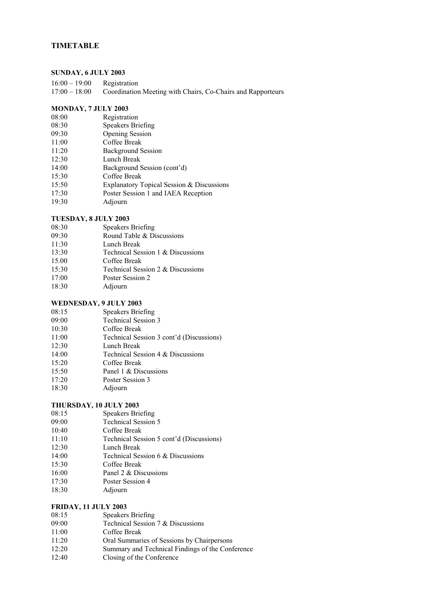### **TIMETABLE**

#### **SUNDAY, 6 JULY 2003**

| $16:00 - 19:00$ | Registration                                                |
|-----------------|-------------------------------------------------------------|
| $17:00 - 18:00$ | Coordination Meeting with Chairs, Co-Chairs and Rapporteurs |

#### **MONDAY, 7 JULY 2003**

- 08:00 Registration
- 08:30 Speakers Briefing
- 09:30 Opening Session
- 11:00 Coffee Break
- 11:20 Background Session
- 12:30 Lunch Break
- 14:00 Background Session (cont'd)
- 15:30 Coffee Break
- 15:50 Explanatory Topical Session & Discussions
- 17:30 Poster Session 1 and IAEA Reception
- 19:30 Adjourn

#### **TUESDAY, 8 JULY 2003**

- 08:30 Speakers Briefing<br>09:30 Round Table & Di
- Round Table  $&$  Discussions
- 11:30 Lunch Break
- 13:30 Technical Session 1 & Discussions
- 15.00 Coffee Break
- 15:30 Technical Session 2 & Discussions
- 17:00 Poster Session 2
- 18:30 Adjourn

### **WEDNESDAY, 9 JULY 2003**

- 08:15 Speakers Briefing
- 09:00 Technical Session 3
- 10:30 Coffee Break
- 11:00 Technical Session 3 cont'd (Discussions)
- 12:30 Lunch Break
- 14:00 Technical Session 4 & Discussions
- 15:20 Coffee Break
- 15:50 Panel 1 & Discussions
- 17:20 Poster Session 3
- 18:30 Adjourn

#### **THURSDAY, 10 JULY 2003**

- 08:15 Speakers Briefing
- 09:00 Technical Session 5
- 10:40 Coffee Break
- 11:10 Technical Session 5 cont'd (Discussions)
- 12:30 Lunch Break
- 14:00 Technical Session 6 & Discussions
- 15:30 Coffee Break
- 16:00 Panel 2 & Discussions
- 17:30 Poster Session 4
- 18:30 Adjourn

#### **FRIDAY, 11 JULY 2003**

- 08:15 Speakers Briefing
- 09:00 Technical Session 7 & Discussions
- 11:00 Coffee Break
- 11:20 Oral Summaries of Sessions by Chairpersons
- 12:20 Summary and Technical Findings of the Conference
- 12:40 Closing of the Conference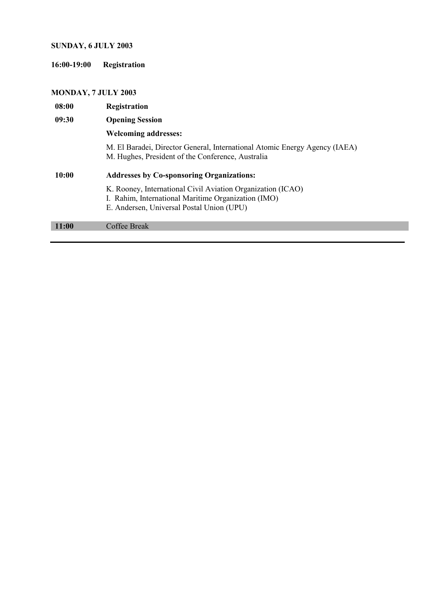# **SUNDAY, 6 JULY 2003**

**16:00-19:00 Registration** 

# **MONDAY, 7 JULY 2003**

| 08:00 | Registration                                                                                                                                                    |
|-------|-----------------------------------------------------------------------------------------------------------------------------------------------------------------|
| 09:30 | <b>Opening Session</b>                                                                                                                                          |
|       | <b>Welcoming addresses:</b>                                                                                                                                     |
|       | M. El Baradei, Director General, International Atomic Energy Agency (IAEA)<br>M. Hughes, President of the Conference, Australia                                 |
| 10:00 |                                                                                                                                                                 |
|       | <b>Addresses by Co-sponsoring Organizations:</b>                                                                                                                |
|       | K. Rooney, International Civil Aviation Organization (ICAO)<br>I. Rahim, International Maritime Organization (IMO)<br>E. Andersen, Universal Postal Union (UPU) |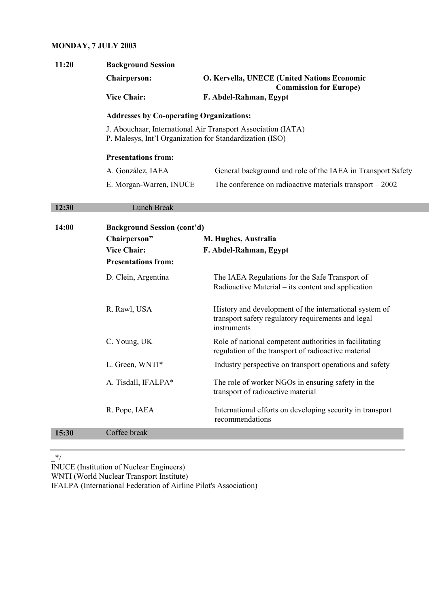### **MONDAY, 7 JULY 2003**

| 11:20 | <b>Background Session</b>                                |                                                                                                               |  |
|-------|----------------------------------------------------------|---------------------------------------------------------------------------------------------------------------|--|
|       | <b>Chairperson:</b>                                      | O. Kervella, UNECE (United Nations Economic                                                                   |  |
|       | <b>Vice Chair:</b>                                       | <b>Commission for Europe)</b><br>F. Abdel-Rahman, Egypt                                                       |  |
|       | <b>Addresses by Co-operating Organizations:</b>          |                                                                                                               |  |
|       | P. Malesys, Int'l Organization for Standardization (ISO) | J. Abouchaar, International Air Transport Association (IATA)                                                  |  |
|       | <b>Presentations from:</b>                               |                                                                                                               |  |
|       | A. González, IAEA                                        | General background and role of the IAEA in Transport Safety                                                   |  |
|       | E. Morgan-Warren, INUCE                                  | The conference on radioactive materials transport $-2002$                                                     |  |
| 12:30 | Lunch Break                                              |                                                                                                               |  |
|       |                                                          |                                                                                                               |  |
| 14:00 | <b>Background Session (cont'd)</b>                       |                                                                                                               |  |
|       | Chairperson"<br><b>Vice Chair:</b>                       | M. Hughes, Australia                                                                                          |  |
|       | <b>Presentations from:</b>                               | F. Abdel-Rahman, Egypt                                                                                        |  |
|       |                                                          |                                                                                                               |  |
|       | D. Clein, Argentina                                      | The IAEA Regulations for the Safe Transport of<br>Radioactive Material – its content and application          |  |
|       | R. Rawl, USA                                             | History and development of the international system of                                                        |  |
|       |                                                          | transport safety regulatory requirements and legal<br>instruments                                             |  |
|       | C. Young, UK                                             | Role of national competent authorities in facilitating<br>regulation of the transport of radioactive material |  |
|       | L. Green, WNTI*                                          | Industry perspective on transport operations and safety                                                       |  |
|       | A. Tisdall, IFALPA*                                      | The role of worker NGOs in ensuring safety in the<br>transport of radioactive material                        |  |
|       | R. Pope, IAEA                                            | International efforts on developing security in transport<br>recommendations                                  |  |
| 15:30 | Coffee break                                             |                                                                                                               |  |

 $*$ /

INUCE (Institution of Nuclear Engineers)

WNTI (World Nuclear Transport Institute) IFALPA (International Federation of Airline Pilot's Association)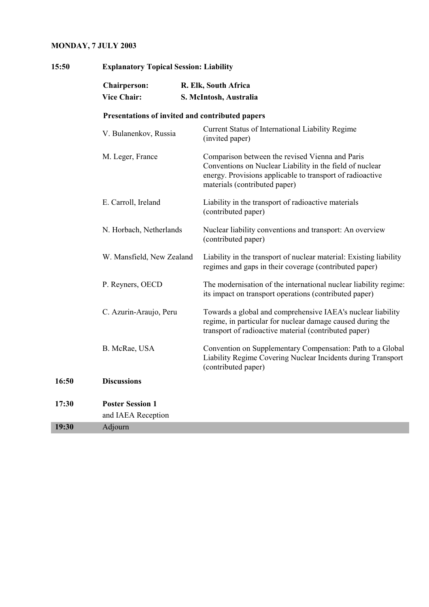# **MONDAY, 7 JULY 2003**

| 15:50 | <b>Explanatory Topical Session: Liability</b>   |                                                                                                                                                                                                           |  |
|-------|-------------------------------------------------|-----------------------------------------------------------------------------------------------------------------------------------------------------------------------------------------------------------|--|
|       | <b>Chairperson:</b><br><b>Vice Chair:</b>       | R. Elk, South Africa<br>S. McIntosh, Australia                                                                                                                                                            |  |
|       | Presentations of invited and contributed papers |                                                                                                                                                                                                           |  |
|       | V. Bulanenkov, Russia                           | Current Status of International Liability Regime<br>(invited paper)                                                                                                                                       |  |
|       | M. Leger, France                                | Comparison between the revised Vienna and Paris<br>Conventions on Nuclear Liability in the field of nuclear<br>energy. Provisions applicable to transport of radioactive<br>materials (contributed paper) |  |
|       | E. Carroll, Ireland                             | Liability in the transport of radioactive materials<br>(contributed paper)                                                                                                                                |  |
|       | N. Horbach, Netherlands                         | Nuclear liability conventions and transport: An overview<br>(contributed paper)                                                                                                                           |  |
|       | W. Mansfield, New Zealand                       | Liability in the transport of nuclear material: Existing liability<br>regimes and gaps in their coverage (contributed paper)                                                                              |  |
|       | P. Reyners, OECD                                | The modernisation of the international nuclear liability regime:<br>its impact on transport operations (contributed paper)                                                                                |  |
|       | C. Azurin-Araujo, Peru                          | Towards a global and comprehensive IAEA's nuclear liability<br>regime, in particular for nuclear damage caused during the<br>transport of radioactive material (contributed paper)                        |  |
|       | B. McRae, USA                                   | Convention on Supplementary Compensation: Path to a Global<br>Liability Regime Covering Nuclear Incidents during Transport<br>(contributed paper)                                                         |  |
| 16:50 | <b>Discussions</b>                              |                                                                                                                                                                                                           |  |
| 17:30 | <b>Poster Session 1</b><br>and IAEA Reception   |                                                                                                                                                                                                           |  |
| 19:30 | Adjourn                                         |                                                                                                                                                                                                           |  |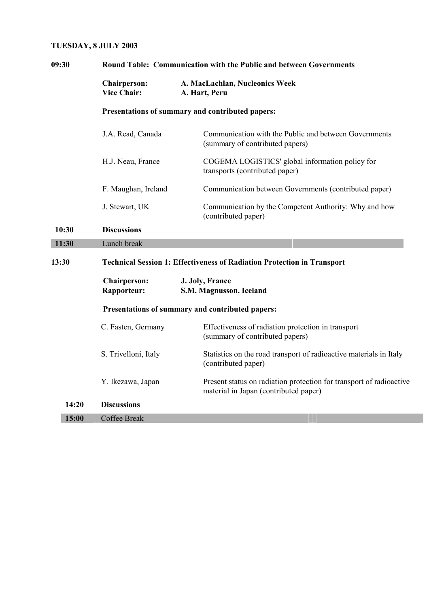### **TUESDAY, 8 JULY 2003**

| 09:30 | Round Table: Communication with the Public and between Governments             |                                                                                                              |  |
|-------|--------------------------------------------------------------------------------|--------------------------------------------------------------------------------------------------------------|--|
|       | <b>Chairperson:</b><br><b>Vice Chair:</b>                                      | A. MacLachlan, Nucleonics Week<br>A. Hart, Peru                                                              |  |
|       |                                                                                | Presentations of summary and contributed papers:                                                             |  |
|       | J.A. Read, Canada                                                              | Communication with the Public and between Governments<br>(summary of contributed papers)                     |  |
|       | H.J. Neau, France                                                              | COGEMA LOGISTICS' global information policy for<br>transports (contributed paper)                            |  |
|       | F. Maughan, Ireland                                                            | Communication between Governments (contributed paper)                                                        |  |
|       | J. Stewart, UK                                                                 | Communication by the Competent Authority: Why and how<br>(contributed paper)                                 |  |
| 10:30 | <b>Discussions</b>                                                             |                                                                                                              |  |
| 11:30 | Lunch break                                                                    |                                                                                                              |  |
| 13:30 | <b>Technical Session 1: Effectiveness of Radiation Protection in Transport</b> |                                                                                                              |  |
|       | <b>Chairperson:</b><br>Rapporteur:                                             | J. Joly, France<br>S.M. Magnusson, Iceland                                                                   |  |
|       | Presentations of summary and contributed papers:                               |                                                                                                              |  |
|       | C. Fasten, Germany                                                             | Effectiveness of radiation protection in transport<br>(summary of contributed papers)                        |  |
|       | S. Trivelloni, Italy                                                           | Statistics on the road transport of radioactive materials in Italy<br>(contributed paper)                    |  |
|       | Y. Ikezawa, Japan                                                              | Present status on radiation protection for transport of radioactive<br>material in Japan (contributed paper) |  |
| 14:20 | <b>Discussions</b>                                                             |                                                                                                              |  |
| 15:00 | <b>Coffee Break</b>                                                            |                                                                                                              |  |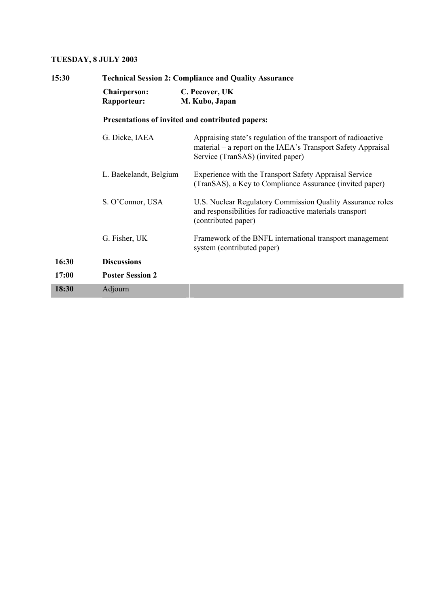### **TUESDAY, 8 JULY 2003**

| 15:30 | <b>Technical Session 2: Compliance and Quality Assurance</b> |                                                                                                                                                                    |  |
|-------|--------------------------------------------------------------|--------------------------------------------------------------------------------------------------------------------------------------------------------------------|--|
|       | <b>Chairperson:</b><br>Rapporteur:                           | C. Pecover, UK<br>M. Kubo, Japan                                                                                                                                   |  |
|       |                                                              | Presentations of invited and contributed papers:                                                                                                                   |  |
|       | G. Dicke, IAEA                                               | Appraising state's regulation of the transport of radioactive<br>material – a report on the IAEA's Transport Safety Appraisal<br>Service (TranSAS) (invited paper) |  |
|       | L. Baekelandt, Belgium                                       | Experience with the Transport Safety Appraisal Service<br>(TranSAS), a Key to Compliance Assurance (invited paper)                                                 |  |
|       | S. O'Connor, USA                                             | U.S. Nuclear Regulatory Commission Quality Assurance roles<br>and responsibilities for radioactive materials transport<br>(contributed paper)                      |  |
|       | G. Fisher, UK                                                | Framework of the BNFL international transport management<br>system (contributed paper)                                                                             |  |
| 16:30 | <b>Discussions</b>                                           |                                                                                                                                                                    |  |
| 17:00 | <b>Poster Session 2</b>                                      |                                                                                                                                                                    |  |
| 18:30 | Adjourn                                                      |                                                                                                                                                                    |  |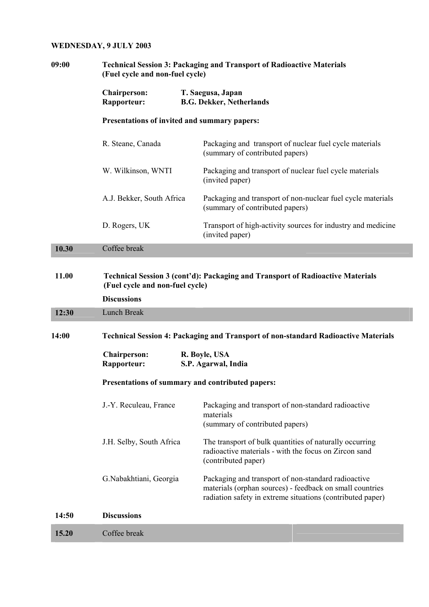# **WEDNESDAY, 9 JULY 2003**

| 09:00 | <b>Technical Session 3: Packaging and Transport of Radioactive Materials</b><br>(Fuel cycle and non-fuel cycle) |                                                                                                                                                                               |  |
|-------|-----------------------------------------------------------------------------------------------------------------|-------------------------------------------------------------------------------------------------------------------------------------------------------------------------------|--|
|       | <b>Chairperson:</b><br>Rapporteur:                                                                              | T. Saegusa, Japan<br><b>B.G. Dekker, Netherlands</b>                                                                                                                          |  |
|       | Presentations of invited and summary papers:                                                                    |                                                                                                                                                                               |  |
|       | R. Steane, Canada                                                                                               | Packaging and transport of nuclear fuel cycle materials<br>(summary of contributed papers)                                                                                    |  |
|       | W. Wilkinson, WNTI                                                                                              | Packaging and transport of nuclear fuel cycle materials<br>(invited paper)                                                                                                    |  |
|       | A.J. Bekker, South Africa                                                                                       | Packaging and transport of non-nuclear fuel cycle materials<br>(summary of contributed papers)                                                                                |  |
|       | D. Rogers, UK                                                                                                   | Transport of high-activity sources for industry and medicine<br>(invited paper)                                                                                               |  |
| 10.30 | Coffee break                                                                                                    |                                                                                                                                                                               |  |
| 11.00 | (Fuel cycle and non-fuel cycle)<br><b>Discussions</b>                                                           | Technical Session 3 (cont'd): Packaging and Transport of Radioactive Materials                                                                                                |  |
| 12:30 | Lunch Break                                                                                                     |                                                                                                                                                                               |  |
| 14:00 | <b>Technical Session 4: Packaging and Transport of non-standard Radioactive Materials</b>                       |                                                                                                                                                                               |  |
|       | <b>Chairperson:</b><br>Rapporteur:                                                                              | R. Boyle, USA<br>S.P. Agarwal, India                                                                                                                                          |  |
|       | Presentations of summary and contributed papers:                                                                |                                                                                                                                                                               |  |
|       | J.-Y. Reculeau, France                                                                                          | Packaging and transport of non-standard radioactive<br>materials<br>(summary of contributed papers)                                                                           |  |
|       | J.H. Selby, South Africa                                                                                        | The transport of bulk quantities of naturally occurring<br>radioactive materials - with the focus on Zircon sand<br>(contributed paper)                                       |  |
|       | G.Nabakhtiani, Georgia                                                                                          | Packaging and transport of non-standard radioactive<br>materials (orphan sources) - feedback on small countries<br>radiation safety in extreme situations (contributed paper) |  |
| 14:50 | <b>Discussions</b>                                                                                              |                                                                                                                                                                               |  |
| 15.20 | Coffee break                                                                                                    |                                                                                                                                                                               |  |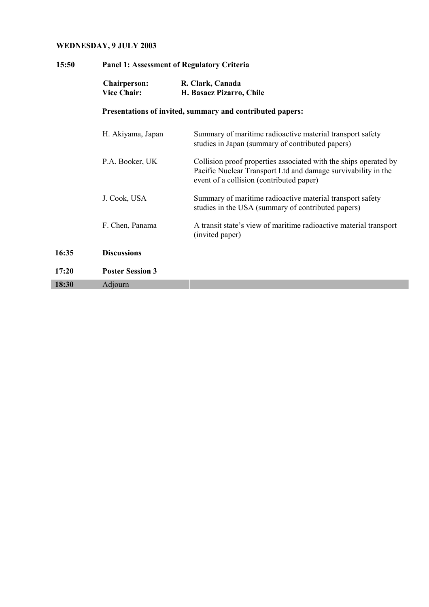# **WEDNESDAY, 9 JULY 2003**

| 15:50 | <b>Panel 1: Assessment of Regulatory Criteria</b> |                                                                                                                                                                               |  |
|-------|---------------------------------------------------|-------------------------------------------------------------------------------------------------------------------------------------------------------------------------------|--|
|       | <b>Chairperson:</b><br><b>Vice Chair:</b>         | R. Clark, Canada<br>H. Basaez Pizarro, Chile                                                                                                                                  |  |
|       |                                                   | Presentations of invited, summary and contributed papers:                                                                                                                     |  |
|       | H. Akiyama, Japan                                 | Summary of maritime radioactive material transport safety<br>studies in Japan (summary of contributed papers)                                                                 |  |
|       | P.A. Booker, UK                                   | Collision proof properties associated with the ships operated by<br>Pacific Nuclear Transport Ltd and damage survivability in the<br>event of a collision (contributed paper) |  |
|       | J. Cook, USA                                      | Summary of maritime radioactive material transport safety<br>studies in the USA (summary of contributed papers)                                                               |  |
|       | F. Chen, Panama                                   | A transit state's view of maritime radioactive material transport<br>(invited paper)                                                                                          |  |
| 16:35 | <b>Discussions</b>                                |                                                                                                                                                                               |  |
| 17:20 | <b>Poster Session 3</b>                           |                                                                                                                                                                               |  |
| 18:30 | Adjourn                                           |                                                                                                                                                                               |  |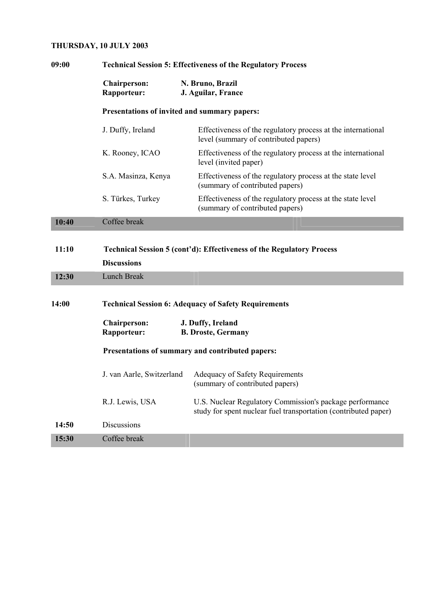# **THURSDAY, 10 JULY 2003**

| 09:00 | <b>Technical Session 5: Effectiveness of the Regulatory Process</b>                                |                                                                                                                             |  |
|-------|----------------------------------------------------------------------------------------------------|-----------------------------------------------------------------------------------------------------------------------------|--|
|       | <b>Chairperson:</b><br>Rapporteur:                                                                 | N. Bruno, Brazil<br>J. Aguilar, France                                                                                      |  |
|       |                                                                                                    | Presentations of invited and summary papers:                                                                                |  |
|       | J. Duffy, Ireland                                                                                  | Effectiveness of the regulatory process at the international<br>level (summary of contributed papers)                       |  |
|       | K. Rooney, ICAO                                                                                    | Effectiveness of the regulatory process at the international<br>level (invited paper)                                       |  |
|       | S.A. Masinza, Kenya                                                                                | Effectiveness of the regulatory process at the state level<br>(summary of contributed papers)                               |  |
|       | S. Türkes, Turkey                                                                                  | Effectiveness of the regulatory process at the state level<br>(summary of contributed papers)                               |  |
| 10:40 | Coffee break                                                                                       |                                                                                                                             |  |
| 11:10 | <b>Technical Session 5 (cont'd): Effectiveness of the Regulatory Process</b><br><b>Discussions</b> |                                                                                                                             |  |
| 12:30 | <b>Lunch Break</b>                                                                                 |                                                                                                                             |  |
| 14:00 | <b>Technical Session 6: Adequacy of Safety Requirements</b>                                        |                                                                                                                             |  |
|       | <b>Chairperson:</b><br>Rapporteur:                                                                 | J. Duffy, Ireland<br><b>B. Droste, Germany</b>                                                                              |  |
|       | Presentations of summary and contributed papers:                                                   |                                                                                                                             |  |
|       | J. van Aarle, Switzerland                                                                          | <b>Adequacy of Safety Requirements</b><br>(summary of contributed papers)                                                   |  |
|       | R.J. Lewis, USA                                                                                    | U.S. Nuclear Regulatory Commission's package performance<br>study for spent nuclear fuel transportation (contributed paper) |  |
| 14:50 | Discussions                                                                                        |                                                                                                                             |  |
| 15:30 | Coffee break                                                                                       |                                                                                                                             |  |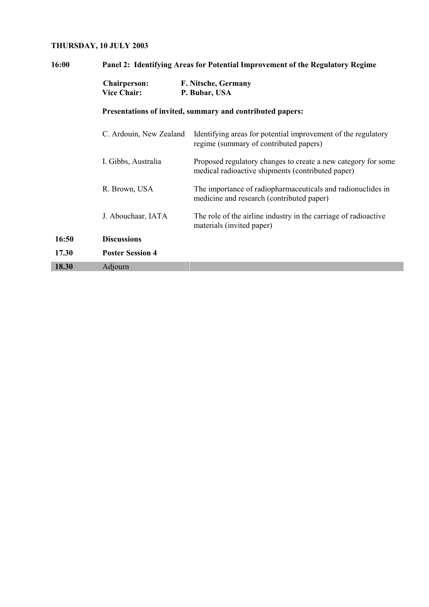# **THURSDAY, 10 JULY 2003**

| 16:00 |                                           | Panel 2: Identifying Areas for Potential Improvement of the Regulatory Regime                                      |  |  |
|-------|-------------------------------------------|--------------------------------------------------------------------------------------------------------------------|--|--|
|       | <b>Chairperson:</b><br><b>Vice Chair:</b> | F. Nitsche, Germany<br>P. Bubar, USA                                                                               |  |  |
|       |                                           | Presentations of invited, summary and contributed papers:                                                          |  |  |
|       | C. Ardouin, New Zealand                   | Identifying areas for potential improvement of the regulatory<br>regime (summary of contributed papers)            |  |  |
|       | I. Gibbs, Australia                       | Proposed regulatory changes to create a new category for some<br>medical radioactive shipments (contributed paper) |  |  |
|       | R. Brown, USA                             | The importance of radiopharmaceuticals and radionuclides in<br>medicine and research (contributed paper)           |  |  |
|       | J. Abouchaar, IATA                        | The role of the airline industry in the carriage of radioactive<br>materials (invited paper)                       |  |  |
| 16:50 | <b>Discussions</b>                        |                                                                                                                    |  |  |
| 17.30 | <b>Poster Session 4</b>                   |                                                                                                                    |  |  |
| 18.30 | Adjourn                                   |                                                                                                                    |  |  |